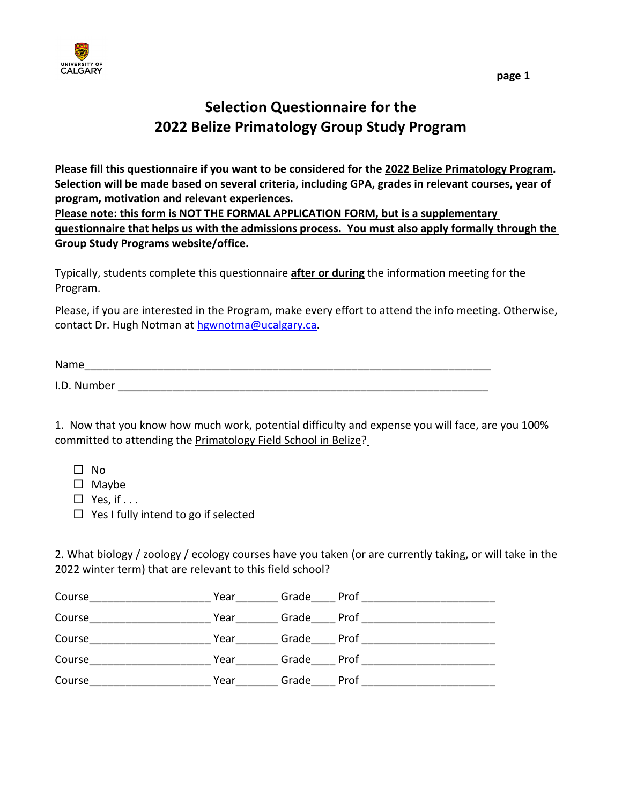

## **Selection Questionnaire for the 2022 Belize Primatology Group Study Program**

**Please fill this questionnaire if you want to be considered for the 2022 Belize Primatology Program. Selection will be made based on several criteria, including GPA, grades in relevant courses, year of program, motivation and relevant experiences.** 

**Please note: this form is NOT THE FORMAL APPLICATION FORM, but is a supplementary questionnaire that helps us with the admissions process. You must also apply formally through the Group Study Programs website/office.**

Typically, students complete this questionnaire **after or during** the information meeting for the Program.

Please, if you are interested in the Program, make every effort to attend the info meeting. Otherwise, contact Dr. Hugh Notman at [hgwnotma@ucalgary.ca.](mailto:hgwnotma@ucalgary.ca)

Name\_\_\_\_\_\_\_\_\_\_\_\_\_\_\_\_\_\_\_\_\_\_\_\_\_\_\_\_\_\_\_\_\_\_\_\_\_\_\_\_\_\_\_\_\_\_\_\_\_\_\_\_\_\_\_\_\_\_\_\_\_\_\_\_\_\_\_ I.D. Number  $\blacksquare$ 

1. Now that you know how much work, potential difficulty and expense you will face, are you 100% committed to attending the Primatology Field School in Belize?

- $\square$  No
- $\square$  Maybe
- $\Box$  Yes, if . . .
- $\Box$  Yes I fully intend to go if selected

2. What biology / zoology / ecology courses have you taken (or are currently taking, or will take in the 2022 winter term) that are relevant to this field school?

| Course | Year | Grade | Prof |
|--------|------|-------|------|
| Course | Year | Grade | Prof |
| Course | Year | Grade | Prof |
| Course | Year | Grade | Prof |
| Course | Year | Grade | Prof |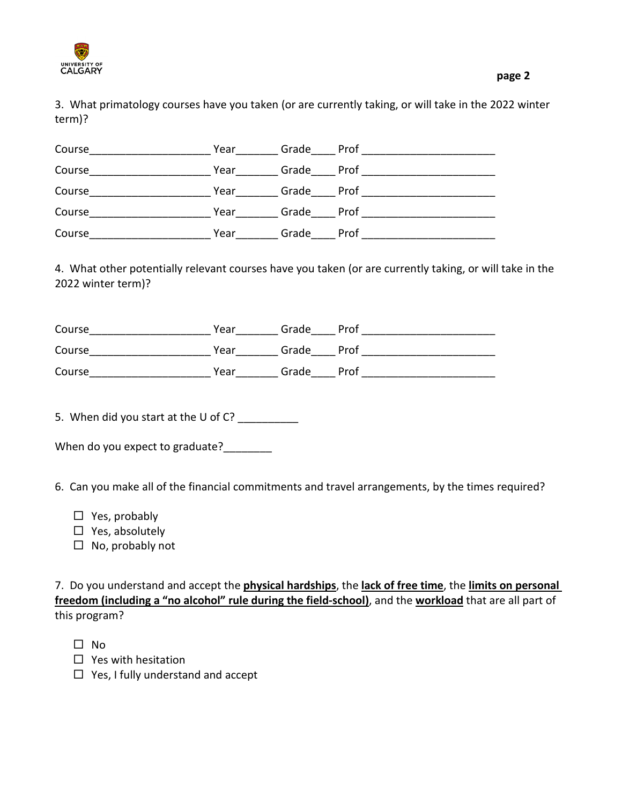

| Course | Year | Grade | Prof |
|--------|------|-------|------|
| Course | Year | Grade | Prof |
| Course | Year | Grade | Prof |
| Course | Year | Grade | Prof |
| Course | Year | Grade | Prof |

4. What other potentially relevant courses have you taken (or are currently taking, or will take in the 2022 winter term)?

| Course | Year | Grade | Prof |
|--------|------|-------|------|
| Course | Year | Grade | Prof |
| Course | Year | Grade | Prof |

5. When did you start at the U of C? \_\_\_\_\_\_\_\_\_

| When do you expect to graduate? |  |
|---------------------------------|--|
|---------------------------------|--|

6. Can you make all of the financial commitments and travel arrangements, by the times required?

- $\Box$  Yes, probably
- $\Box$  Yes, absolutely
- $\Box$  No, probably not

7. Do you understand and accept the **physical hardships**, the **lack of free time**, the **limits on personal freedom (including a "no alcohol" rule during the field-school)**, and the **workload** that are all part of this program?

- $\square$  No
- $\Box$  Yes with hesitation
- $\Box$  Yes, I fully understand and accept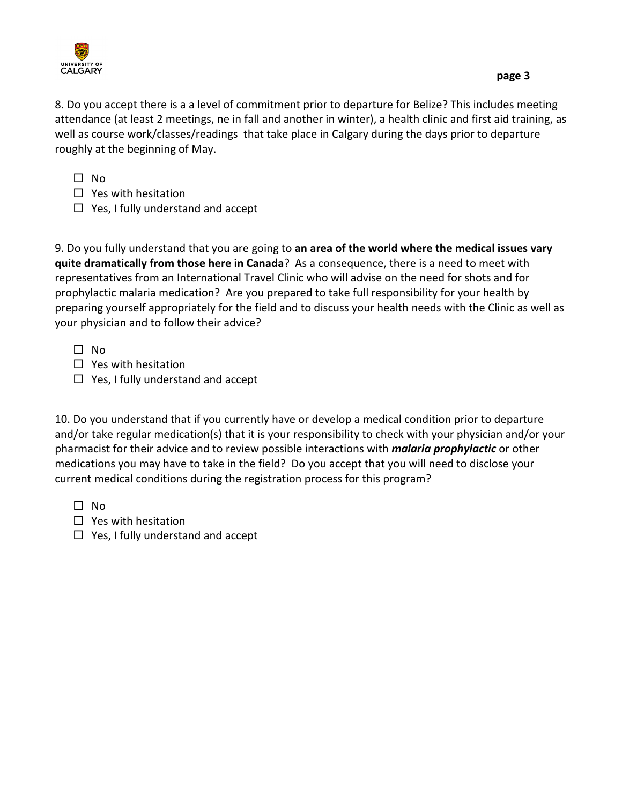

8. Do you accept there is a a level of commitment prior to departure for Belize? This includes meeting attendance (at least 2 meetings, ne in fall and another in winter), a health clinic and first aid training, as well as course work/classes/readings that take place in Calgary during the days prior to departure roughly at the beginning of May.

 $\Box$  No

- $\Box$  Yes with hesitation
- $\Box$  Yes, I fully understand and accept

9. Do you fully understand that you are going to **an area of the world where the medical issues vary quite dramatically from those here in Canada**? As a consequence, there is a need to meet with representatives from an International Travel Clinic who will advise on the need for shots and for prophylactic malaria medication? Are you prepared to take full responsibility for your health by preparing yourself appropriately for the field and to discuss your health needs with the Clinic as well as your physician and to follow their advice?

 $\square$  No

- $\Box$  Yes with hesitation
- $\Box$  Yes, I fully understand and accept

10. Do you understand that if you currently have or develop a medical condition prior to departure and/or take regular medication(s) that it is your responsibility to check with your physician and/or your pharmacist for their advice and to review possible interactions with *malaria prophylactic* or other medications you may have to take in the field? Do you accept that you will need to disclose your current medical conditions during the registration process for this program?

 $\Box$  No

- $\Box$  Yes with hesitation
- $\Box$  Yes, I fully understand and accept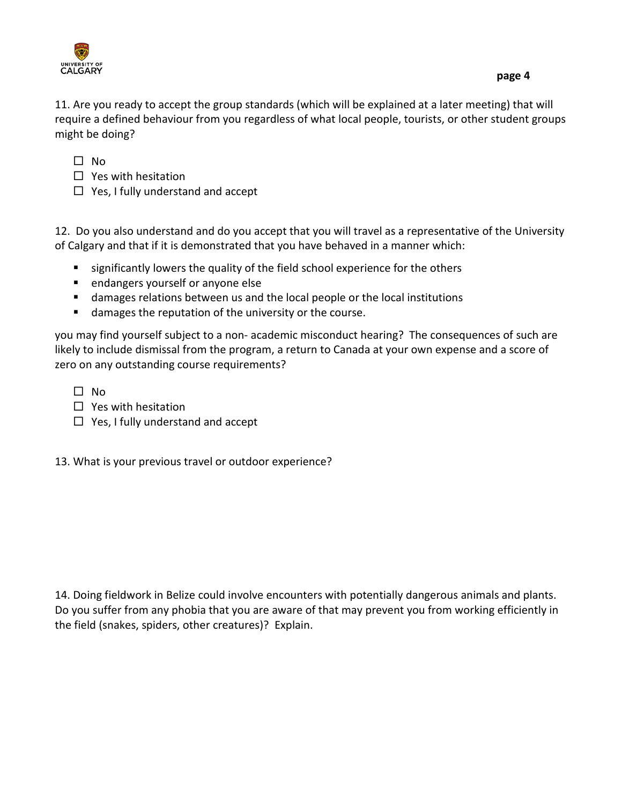



11. Are you ready to accept the group standards (which will be explained at a later meeting) that will require a defined behaviour from you regardless of what local people, tourists, or other student groups might be doing?

 $\Box$  No

- $\Box$  Yes with hesitation
- $\Box$  Yes, I fully understand and accept

12. Do you also understand and do you accept that you will travel as a representative of the University of Calgary and that if it is demonstrated that you have behaved in a manner which:

- **s** significantly lowers the quality of the field school experience for the others
- **E** endangers yourself or anyone else
- damages relations between us and the local people or the local institutions
- **damages the reputation of the university or the course.**

you may find yourself subject to a non- academic misconduct hearing? The consequences of such are likely to include dismissal from the program, a return to Canada at your own expense and a score of zero on any outstanding course requirements?

 $\Box$  No

- $\Box$  Yes with hesitation
- $\Box$  Yes, I fully understand and accept
- 13. What is your previous travel or outdoor experience?

14. Doing fieldwork in Belize could involve encounters with potentially dangerous animals and plants. Do you suffer from any phobia that you are aware of that may prevent you from working efficiently in the field (snakes, spiders, other creatures)? Explain.